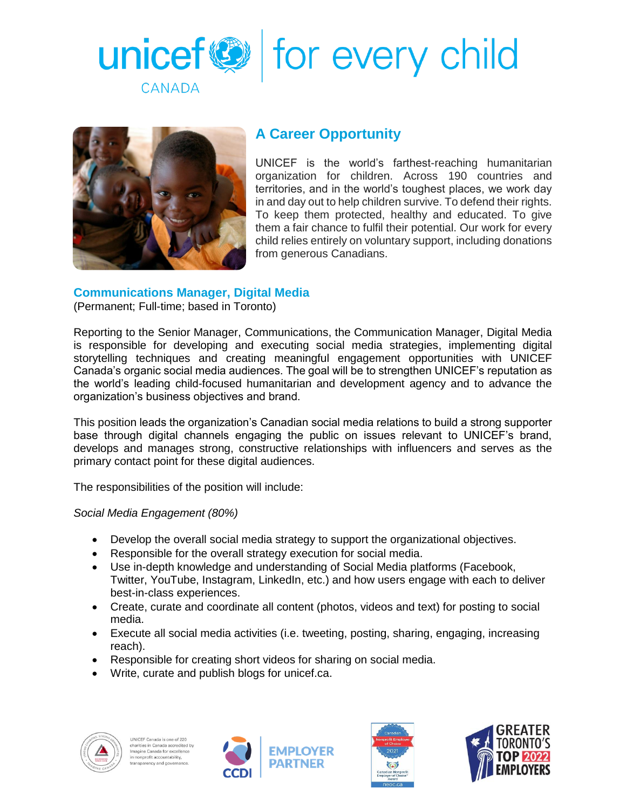



## **A Career Opportunity**

UNICEF is the world's farthest-reaching humanitarian organization for children. Across 190 countries and territories, and in the world's toughest places, we work day in and day out to help children survive. To defend their rights. To keep them protected, healthy and educated. To give them a fair chance to fulfil their potential. Our work for every child relies entirely on voluntary support, including donations from generous Canadians.

## **Communications Manager, Digital Media**

(Permanent; Full-time; based in Toronto)

Reporting to the Senior Manager, Communications, the Communication Manager, Digital Media is responsible for developing and executing social media strategies, implementing digital storytelling techniques and creating meaningful engagement opportunities with UNICEF Canada's organic social media audiences. The goal will be to strengthen UNICEF's reputation as the world's leading child-focused humanitarian and development agency and to advance the organization's business objectives and brand.

This position leads the organization's Canadian social media relations to build a strong supporter base through digital channels engaging the public on issues relevant to UNICEF's brand, develops and manages strong, constructive relationships with influencers and serves as the primary contact point for these digital audiences.

The responsibilities of the position will include:

## *Social Media Engagement (80%)*

- Develop the overall social media strategy to support the organizational objectives.
- Responsible for the overall strategy execution for social media.
- Use in-depth knowledge and understanding of Social Media platforms (Facebook, Twitter, YouTube, Instagram, LinkedIn, etc.) and how users engage with each to deliver best-in-class experiences.
- Create, curate and coordinate all content (photos, videos and text) for posting to social media.
- Execute all social media activities (i.e. tweeting, posting, sharing, engaging, increasing reach).
- Responsible for creating short videos for sharing on social media.
- Write, curate and publish blogs for unicef.ca.







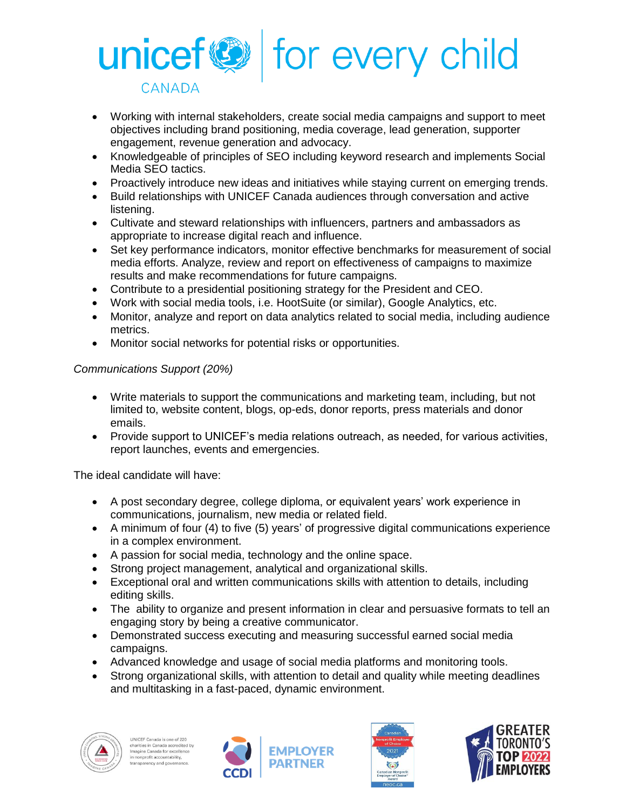

- Working with internal stakeholders, create social media campaigns and support to meet objectives including brand positioning, media coverage, lead generation, supporter engagement, revenue generation and advocacy.
- Knowledgeable of principles of SEO including keyword research and implements Social Media SEO tactics.
- Proactively introduce new ideas and initiatives while staying current on emerging trends.
- Build relationships with UNICEF Canada audiences through conversation and active listening.
- Cultivate and steward relationships with influencers, partners and ambassadors as appropriate to increase digital reach and influence.
- Set key performance indicators, monitor effective benchmarks for measurement of social media efforts. Analyze, review and report on effectiveness of campaigns to maximize results and make recommendations for future campaigns.
- Contribute to a presidential positioning strategy for the President and CEO.
- Work with social media tools, i.e. HootSuite (or similar), Google Analytics, etc.
- Monitor, analyze and report on data analytics related to social media, including audience metrics.
- Monitor social networks for potential risks or opportunities.

## *Communications Support (20%)*

- Write materials to support the communications and marketing team, including, but not limited to, website content, blogs, op-eds, donor reports, press materials and donor emails.
- Provide support to UNICEF's media relations outreach, as needed, for various activities, report launches, events and emergencies.

The ideal candidate will have:

- A post secondary degree, college diploma, or equivalent years' work experience in communications, journalism, new media or related field.
- A minimum of four (4) to five (5) years' of progressive digital communications experience in a complex environment.
- A passion for social media, technology and the online space.
- Strong project management, analytical and organizational skills.
- Exceptional oral and written communications skills with attention to details, including editing skills.
- The ability to organize and present information in clear and persuasive formats to tell an engaging story by being a creative communicator.
- Demonstrated success executing and measuring successful earned social media campaigns.
- Advanced knowledge and usage of social media platforms and monitoring tools.
- Strong organizational skills, with attention to detail and quality while meeting deadlines and multitasking in a fast-paced, dynamic environment.